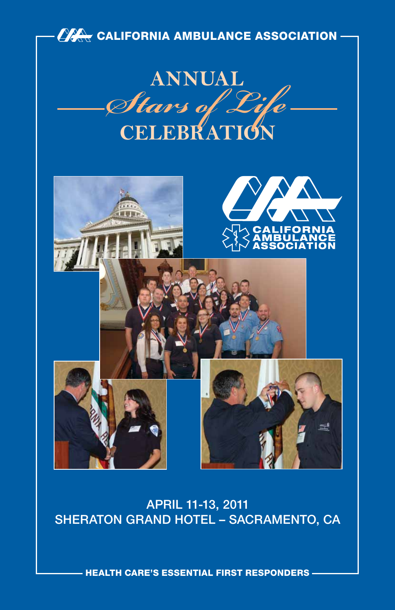

#### APRIL 11-13, 2011 Sheraton Grand Hotel – Sacramento, CA

health care's essential first responders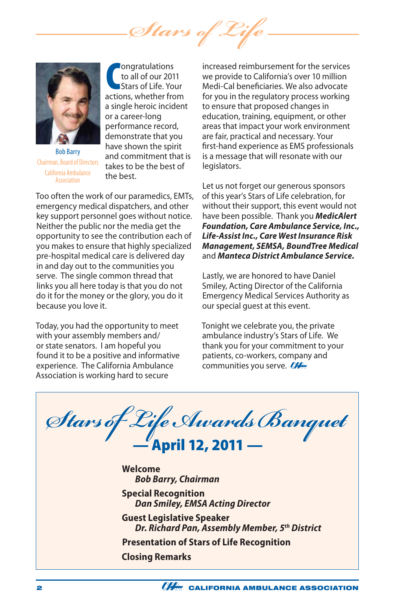*Stars of Life*



Bob Barry Chairman, Board of Directors California Ambulance **Accoriation** 

**CONFORT CONTROVER CONTROVER STATES OF LIFE. Your actions, whether from** ongratulations to all of our 2011 Stars of Life. Your a single heroic incident or a career-long performance record, demonstrate that you have shown the spirit and commitment that is takes to be the best of the best.

Too often the work of our paramedics, EMTs, emergency medical dispatchers, and other key support personnel goes without notice. Neither the public nor the media get the opportunity to see the contribution each of you makes to ensure that highly specialized pre-hospital medical care is delivered day in and day out to the communities you serve. The single common thread that links you all here today is that you do not do it for the money or the glory, you do it because you love it.

Today, you had the opportunity to meet with your assembly members and/ or state senators. I am hopeful you found it to be a positive and informative experience. The California Ambulance Association is working hard to secure

increased reimbursement for the services we provide to California's over 10 million Medi-Cal beneficiaries. We also advocate for you in the regulatory process working to ensure that proposed changes in education, training, equipment, or other areas that impact your work environment are fair, practical and necessary. Your first-hand experience as EMS professionals is a message that will resonate with our legislators.

Let us not forget our generous sponsors of this year's Stars of Life celebration, for without their support, this event would not have been possible. Thank you *MedicAlert Foundation, Care Ambulance Service, Inc., Life-Assist Inc., Care West Insurance Risk Management, SEMSA, BoundTree Medical*  and *Manteca District Ambulance Service.*

Lastly, we are honored to have Daniel Smiley, Acting Director of the California Emergency Medical Services Authority as our special guest at this event.

Tonight we celebrate you, the private ambulance industry's Stars of Life. We thank you for your commitment to your patients, co-workers, company and communities you serve.

*Stars of Life Awards Banquet* — April 12, 2011 — **Welcome** *Bob Barry, Chairman* **Special Recognition** *Dan Smiley, EMSA Acting Director* **Guest Legislative Speaker** *Dr. Richard Pan, Assembly Member, 5th District* **Presentation of Stars of Life Recognition Closing Remarks**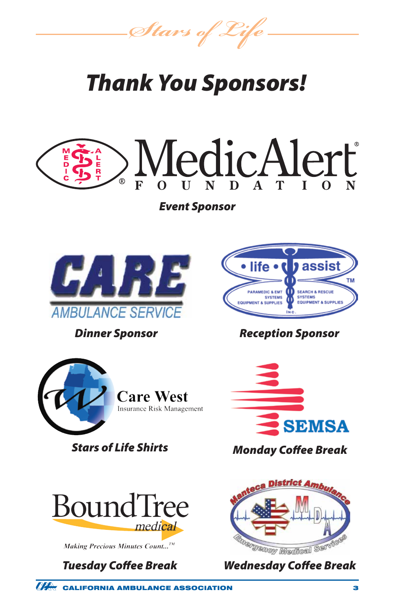*Stars of Life*

### *Thank You Sponsors!*



*Event Sponsor*



*Dinner Sponsor*





Making Precious Minutes Count...<sup>TM</sup>



#### *Reception Sponsor*



*Stars of Life Shirts Monday Coffee Break*



*Tuesday Coffee Break Wednesday Coffee Break*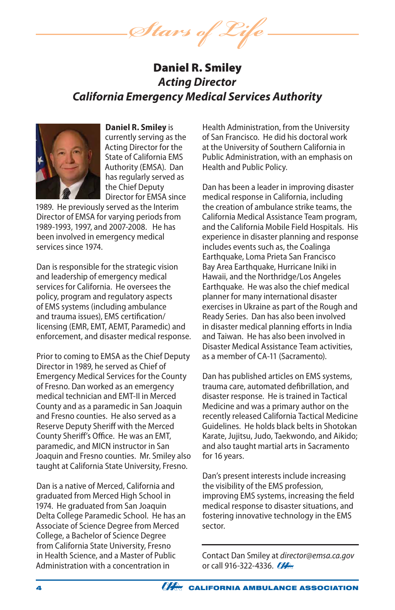*Stars of Life*

#### Daniel R. Smiley *Acting Director California Emergency Medical Services Authority*



**Daniel R. Smiley** is currently serving as the Acting Director for the State of California EMS Authority (EMSA). Dan has regularly served as the Chief Deputy Director for EMSA since

1989. He previously served as the Interim Director of EMSA for varying periods from 1989-1993, 1997, and 2007-2008. He has been involved in emergency medical services since 1974.

Dan is responsible for the strategic vision and leadership of emergency medical services for California. He oversees the policy, program and regulatory aspects of EMS systems (including ambulance and trauma issues), EMS certification/ licensing (EMR, EMT, AEMT, Paramedic) and enforcement, and disaster medical response.

Prior to coming to EMSA as the Chief Deputy Director in 1989, he served as Chief of Emergency Medical Services for the County of Fresno. Dan worked as an emergency medical technician and EMT-II in Merced County and as a paramedic in San Joaquin and Fresno counties. He also served as a Reserve Deputy Sheriff with the Merced County Sheriff's Office. He was an EMT, paramedic, and MICN instructor in San Joaquin and Fresno counties. Mr. Smiley also taught at California State University, Fresno.

Dan is a native of Merced, California and graduated from Merced High School in 1974. He graduated from San Joaquin Delta College Paramedic School. He has an Associate of Science Degree from Merced College, a Bachelor of Science Degree from California State University, Fresno in Health Science, and a Master of Public Administration with a concentration in

Health Administration, from the University of San Francisco. He did his doctoral work at the University of Southern California in Public Administration, with an emphasis on Health and Public Policy.

Dan has been a leader in improving disaster medical response in California, including the creation of ambulance strike teams, the California Medical Assistance Team program, and the California Mobile Field Hospitals. His experience in disaster planning and response includes events such as, the Coalinga Earthquake, Loma Prieta San Francisco Bay Area Earthquake, Hurricane Iniki in Hawaii, and the Northridge/Los Angeles Earthquake. He was also the chief medical planner for many international disaster exercises in Ukraine as part of the Rough and Ready Series. Dan has also been involved in disaster medical planning efforts in India and Taiwan. He has also been involved in Disaster Medical Assistance Team activities, as a member of CA-11 (Sacramento).

Dan has published articles on EMS systems, trauma care, automated defibrillation, and disaster response. He is trained in Tactical Medicine and was a primary author on the recently released California Tactical Medicine Guidelines. He holds black belts in Shotokan Karate, Jujitsu, Judo, Taekwondo, and Aikido; and also taught martial arts in Sacramento for 16 years.

Dan's present interests include increasing the visibility of the EMS profession, improving EMS systems, increasing the field medical response to disaster situations, and fostering innovative technology in the EMS sector.

Contact Dan Smiley at *director@emsa.ca.gov*  or call 916-322-4336. 22

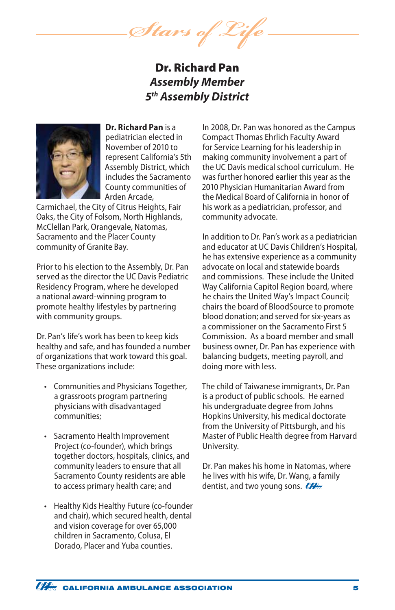*Stars of Life*

#### Dr. Richard Pan *Assembly Member 5th Assembly District*



**Dr. Richard Pan** is a pediatrician elected in November of 2010 to represent California's 5th Assembly District, which includes the Sacramento County communities of Arden Arcade,

Carmichael, the City of Citrus Heights, Fair Oaks, the City of Folsom, North Highlands, McClellan Park, Orangevale, Natomas, Sacramento and the Placer County community of Granite Bay.

Prior to his election to the Assembly, Dr. Pan served as the director the UC Davis Pediatric Residency Program, where he developed a national award-winning program to promote healthy lifestyles by partnering with community groups.

Dr. Pan's life's work has been to keep kids healthy and safe, and has founded a number of organizations that work toward this goal. These organizations include:

- • Communities and Physicians Together, a grassroots program partnering physicians with disadvantaged communities;
- • Sacramento Health Improvement Project (co-founder), which brings together doctors, hospitals, clinics, and community leaders to ensure that all Sacramento County residents are able to access primary health care; and
- • Healthy Kids Healthy Future (co-founder and chair), which secured health, dental and vision coverage for over 65,000 children in Sacramento, Colusa, El Dorado, Placer and Yuba counties.

In 2008, Dr. Pan was honored as the Campus Compact Thomas Ehrlich Faculty Award for Service Learning for his leadership in making community involvement a part of the UC Davis medical school curriculum. He was further honored earlier this year as the 2010 Physician Humanitarian Award from the Medical Board of California in honor of his work as a pediatrician, professor, and community advocate.

In addition to Dr. Pan's work as a pediatrician and educator at UC Davis Children's Hospital, he has extensive experience as a community advocate on local and statewide boards and commissions. These include the United Way California Capitol Region board, where he chairs the United Way's Impact Council; chairs the board of BloodSource to promote blood donation; and served for six-years as a commissioner on the Sacramento First 5 Commission. As a board member and small business owner, Dr. Pan has experience with balancing budgets, meeting payroll, and doing more with less.

The child of Taiwanese immigrants, Dr. Pan is a product of public schools. He earned his undergraduate degree from Johns Hopkins University, his medical doctorate from the University of Pittsburgh, and his Master of Public Health degree from Harvard University.

Dr. Pan makes his home in Natomas, where he lives with his wife, Dr. Wang, a family dentist, and two young sons. **CALL**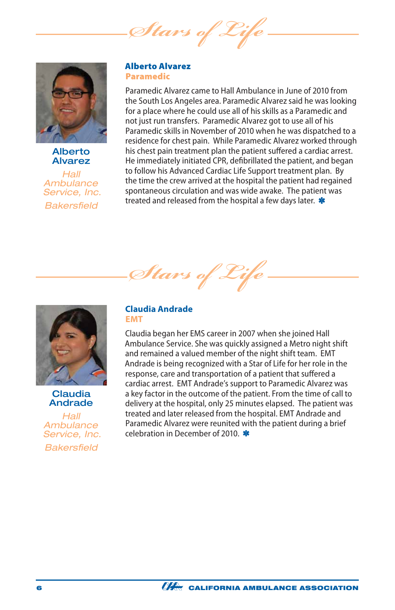*Stars of* 



Alberto Alvarez

*Hall Ambulance Service, Inc. Bakersfield*

#### Alberto Alvarez Paramedic

Paramedic Alvarez came to Hall Ambulance in June of 2010 from the South Los Angeles area. Paramedic Alvarez said he was looking for a place where he could use all of his skills as a Paramedic and not just run transfers. Paramedic Alvarez got to use all of his Paramedic skills in November of 2010 when he was dispatched to a residence for chest pain. While Paramedic Alvarez worked through his chest pain treatment plan the patient suffered a cardiac arrest. He immediately initiated CPR, defibrillated the patient, and began to follow his Advanced Cardiac Life Support treatment plan. By the time the crew arrived at the hospital the patient had regained spontaneous circulation and was wide awake. The patient was treated and released from the hospital a few days later. \*

*Stars of Life*



**Claudia** Andrade

*Hall Ambulance Service, Inc. Bakersfield*

#### **Claudia Andrade EMT**

Claudia began her EMS career in 2007 when she joined Hall Ambulance Service. She was quickly assigned a Metro night shift and remained a valued member of the night shift team. EMT Andrade is being recognized with a Star of Life for her role in the response, care and transportation of a patient that suffered a cardiac arrest. EMT Andrade's support to Paramedic Alvarez was a key factor in the outcome of the patient. From the time of call to delivery at the hospital, only 25 minutes elapsed. The patient was treated and later released from the hospital. EMT Andrade and Paramedic Alvarez were reunited with the patient during a brief celebration in December of 2010.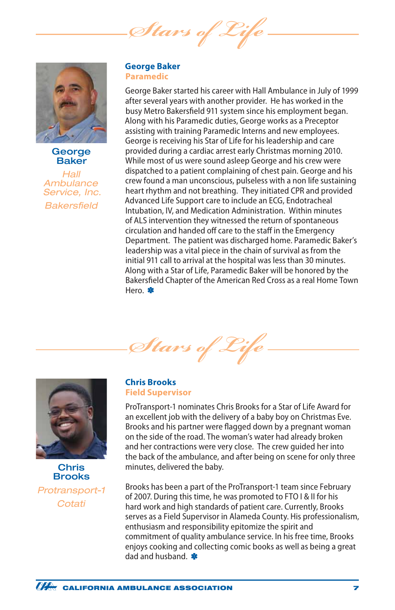Stars of



George Baker

*Hall Ambulance Service, Inc. Bakersfield*

#### **George Baker Paramedic**

George Baker started his career with Hall Ambulance in July of 1999 after several years with another provider. He has worked in the busy Metro Bakersfield 911 system since his employment began. Along with his Paramedic duties, George works as a Preceptor assisting with training Paramedic Interns and new employees. George is receiving his Star of Life for his leadership and care provided during a cardiac arrest early Christmas morning 2010. While most of us were sound asleep George and his crew were dispatched to a patient complaining of chest pain. George and his crew found a man unconscious, pulseless with a non life sustaining heart rhythm and not breathing. They initiated CPR and provided Advanced Life Support care to include an ECG, Endotracheal Intubation, IV, and Medication Administration. Within minutes of ALS intervention they witnessed the return of spontaneous circulation and handed off care to the staff in the Emergency Department. The patient was discharged home. Paramedic Baker's leadership was a vital piece in the chain of survival as from the initial 911 call to arrival at the hospital was less than 30 minutes. Along with a Star of Life, Paramedic Baker will be honored by the Bakersfield Chapter of the American Red Cross as a real Home Town Hero. \*





Chris Brooks *Protransport-1 Cotati*

#### **Chris Brooks Field Supervisor**

ProTransport-1 nominates Chris Brooks for a Star of Life Award for an excellent job with the delivery of a baby boy on Christmas Eve. Brooks and his partner were flagged down by a pregnant woman on the side of the road. The woman's water had already broken and her contractions were very close. The crew guided her into the back of the ambulance, and after being on scene for only three minutes, delivered the baby.

Brooks has been a part of the ProTransport-1 team since February of 2007. During this time, he was promoted to FTO I & II for his hard work and high standards of patient care. Currently, Brooks serves as a Field Supervisor in Alameda County. His professionalism, enthusiasm and responsibility epitomize the spirit and commitment of quality ambulance service. In his free time, Brooks enjoys cooking and collecting comic books as well as being a great dad and husband.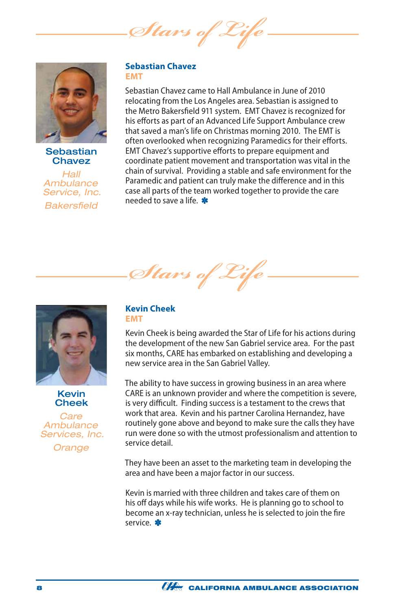*Stars of* 



**Sebastian Chavez** 

*Hall Ambulance Service, Inc. Bakersfield*

#### **Sebastian Chavez EMT**

Sebastian Chavez came to Hall Ambulance in June of 2010 relocating from the Los Angeles area. Sebastian is assigned to the Metro Bakersfield 911 system. EMT Chavez is recognized for his efforts as part of an Advanced Life Support Ambulance crew that saved a man's life on Christmas morning 2010. The EMT is often overlooked when recognizing Paramedics for their efforts. EMT Chavez's supportive efforts to prepare equipment and coordinate patient movement and transportation was vital in the chain of survival. Providing a stable and safe environment for the Paramedic and patient can truly make the difference and in this case all parts of the team worked together to provide the care needed to save a life.





Kevin Cheek

*Care Ambulance Services, Inc.*

*Orange*

#### **Kevin Cheek EMT**

Kevin Cheek is being awarded the Star of Life for his actions during the development of the new San Gabriel service area. For the past six months, CARE has embarked on establishing and developing a new service area in the San Gabriel Valley.

The ability to have success in growing business in an area where CARE is an unknown provider and where the competition is severe, is very difficult. Finding success is a testament to the crews that work that area. Kevin and his partner Carolina Hernandez, have routinely gone above and beyond to make sure the calls they have run were done so with the utmost professionalism and attention to service detail.

They have been an asset to the marketing team in developing the area and have been a major factor in our success.

Kevin is married with three children and takes care of them on his off days while his wife works. He is planning go to school to become an x-ray technician, unless he is selected to join the fire service. \*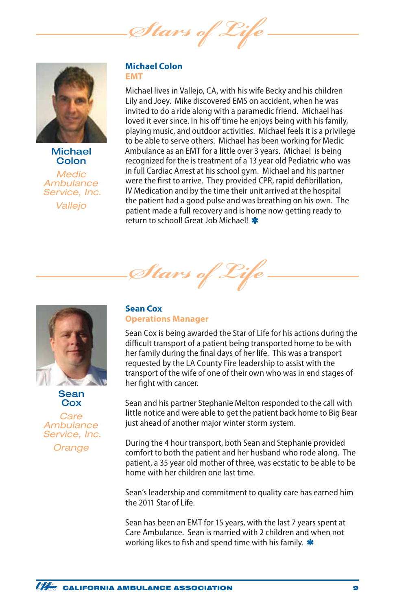Stars of



**Michael Colon** 

*Medic Ambulance Service, Inc. Vallejo*

#### **Michael Colon EMT**

Michael lives in Vallejo, CA, with his wife Becky and his children Lily and Joey. Mike discovered EMS on accident, when he was invited to do a ride along with a paramedic friend. Michael has loved it ever since. In his off time he enjoys being with his family, playing music, and outdoor activities. Michael feels it is a privilege to be able to serve others. Michael has been working for Medic Ambulance as an EMT for a little over 3 years. Michael is being recognized for the is treatment of a 13 year old Pediatric who was in full Cardiac Arrest at his school gym. Michael and his partner were the first to arrive. They provided CPR, rapid defibrillation, IV Medication and by the time their unit arrived at the hospital the patient had a good pulse and was breathing on his own. The patient made a full recovery and is home now getting ready to return to school! Great Job Michael! \*



Sean **Cox** 

*Care Ambulance Service, Inc.*

*Orange*

#### **Sean Cox Operations Manager**

*Stars of* 

Sean Cox is being awarded the Star of Life for his actions during the difficult transport of a patient being transported home to be with her family during the final days of her life. This was a transport requested by the LA County Fire leadership to assist with the transport of the wife of one of their own who was in end stages of her fight with cancer.

Sean and his partner Stephanie Melton responded to the call with little notice and were able to get the patient back home to Big Bear just ahead of another major winter storm system.

During the 4 hour transport, both Sean and Stephanie provided comfort to both the patient and her husband who rode along. The patient, a 35 year old mother of three, was ecstatic to be able to be home with her children one last time.

Sean's leadership and commitment to quality care has earned him the 2011 Star of Life.

Sean has been an EMT for 15 years, with the last 7 years spent at Care Ambulance. Sean is married with 2 children and when not working likes to fish and spend time with his family. \*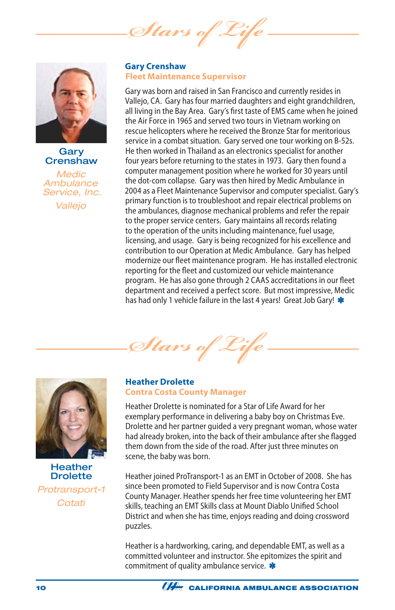Stars of



#### **Gary Crenshaw**

*Medic Ambulance Service, Inc. Vallejo*

#### **Gary Crenshaw Fleet Maintenance Supervisor**

Gary was born and raised in San Francisco and currently resides in Vallejo, CA. Gary has four married daughters and eight grandchildren, all living in the Bay Area. Gary's first taste of EMS came when he joined the Air Force in 1965 and served two tours in Vietnam working on rescue helicopters where he received the Bronze Star for meritorious service in a combat situation. Gary served one tour working on B-52s. He then worked in Thailand as an electronics specialist for another four years before returning to the states in 1973. Gary then found a computer management position where he worked for 30 years until the dot-com collapse. Gary was then hired by Medic Ambulance in 2004 as a Fleet Maintenance Supervisor and computer specialist. Gary's primary function is to troubleshoot and repair electrical problems on the ambulances, diagnose mechanical problems and refer the repair to the proper service centers. Gary maintains all records relating to the operation of the units including maintenance, fuel usage, licensing, and usage. Gary is being recognized for his excellence and contribution to our Operation at Medic Ambulance. Gary has helped modernize our fleet maintenance program. He has installed electronic reporting for the fleet and customized our vehicle maintenance program. He has also gone through 2 CAAS accreditations in our fleet department and received a perfect score. But most impressive, Medic has had only 1 vehicle failure in the last 4 years! Great Job Gary! \*

*Stars of Life*



**Heather Drolette** *Protransport-1 Cotati*

#### **Heather Drolette Contra Costa County Manager**

Heather Drolette is nominated for a Star of Life Award for her exemplary performance in delivering a baby boy on Christmas Eve. Drolette and her partner guided a very pregnant woman, whose water had already broken, into the back of their ambulance after she flagged them down from the side of the road. After just three minutes on scene, the baby was born.

Heather joined ProTransport-1 as an EMT in October of 2008. She has since been promoted to Field Supervisor and is now Contra Costa County Manager. Heather spends her free time volunteering her EMT skills, teaching an EMT Skills class at Mount Diablo Unified School District and when she has time, enjoys reading and doing crossword puzzles.

Heather is a hardworking, caring, and dependable EMT, as well as a committed volunteer and instructor. She epitomizes the spirit and commitment of quality ambulance service. \*

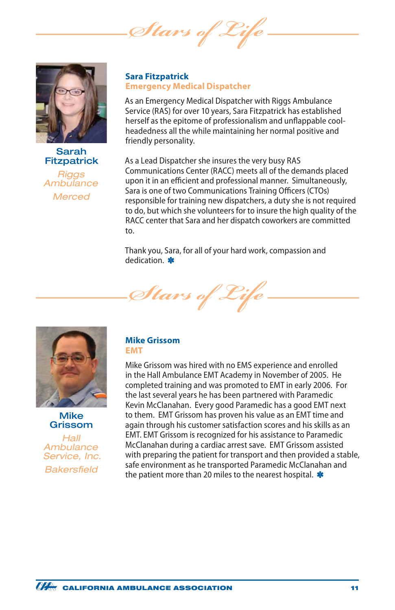Stars of



#### Sarah **Fitzpatrick**

*Riggs Ambulance Merced*

#### **Sara Fitzpatrick Emergency Medical Dispatcher**

As an Emergency Medical Dispatcher with Riggs Ambulance Service (RAS) for over 10 years, Sara Fitzpatrick has established herself as the epitome of professionalism and unflappable coolheadedness all the while maintaining her normal positive and friendly personality.

As a Lead Dispatcher she insures the very busy RAS Communications Center (RACC) meets all of the demands placed upon it in an efficient and professional manner. Simultaneously, Sara is one of two Communications Training Officers (CTOs) responsible for training new dispatchers, a duty she is not required to do, but which she volunteers for to insure the high quality of the RACC center that Sara and her dispatch coworkers are committed to.

Thank you, Sara, for all of your hard work, compassion and dedication \*







*Hall Ambulance Service, Inc. Bakersfield*

#### **Mike Grissom EMT**

Mike Grissom was hired with no EMS experience and enrolled in the Hall Ambulance EMT Academy in November of 2005. He completed training and was promoted to EMT in early 2006. For the last several years he has been partnered with Paramedic Kevin McClanahan. Every good Paramedic has a good EMT next to them. EMT Grissom has proven his value as an EMT time and again through his customer satisfaction scores and his skills as an EMT. EMT Grissom is recognized for his assistance to Paramedic McClanahan during a cardiac arrest save. EMT Grissom assisted with preparing the patient for transport and then provided a stable, safe environment as he transported Paramedic McClanahan and the patient more than 20 miles to the nearest hospital.  $*$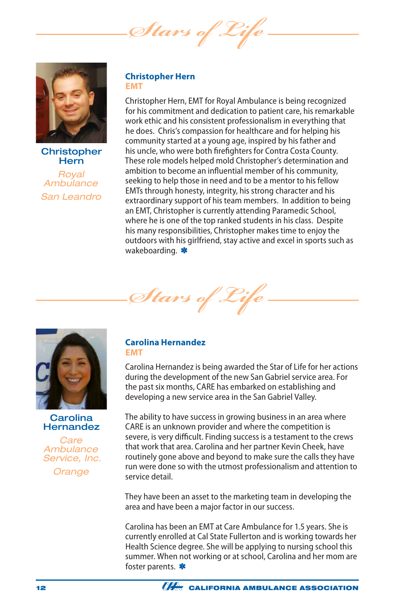*Stars of Life*



**Christopher Hern** *Royal Ambulance San Leandro*

#### **Christopher Hern EMT**

Christopher Hern, EMT for Royal Ambulance is being recognized for his commitment and dedication to patient care, his remarkable work ethic and his consistent professionalism in everything that he does. Chris's compassion for healthcare and for helping his community started at a young age, inspired by his father and his uncle, who were both firefighters for Contra Costa County. These role models helped mold Christopher's determination and ambition to become an influential member of his community, seeking to help those in need and to be a mentor to his fellow EMTs through honesty, integrity, his strong character and his extraordinary support of his team members. In addition to being an EMT, Christopher is currently attending Paramedic School, where he is one of the top ranked students in his class. Despite his many responsibilities, Christopher makes time to enjoy the outdoors with his girlfriend, stay active and excel in sports such as wakeboarding. \*







*Care Ambulance Service, Inc.*

*Orange*

#### **Carolina Hernandez EMT**

Carolina Hernandez is being awarded the Star of Life for her actions during the development of the new San Gabriel service area. For the past six months, CARE has embarked on establishing and developing a new service area in the San Gabriel Valley.

The ability to have success in growing business in an area where CARE is an unknown provider and where the competition is severe, is very difficult. Finding success is a testament to the crews that work that area. Carolina and her partner Kevin Cheek, have routinely gone above and beyond to make sure the calls they have run were done so with the utmost professionalism and attention to service detail.

They have been an asset to the marketing team in developing the area and have been a major factor in our success.

Carolina has been an EMT at Care Ambulance for 1.5 years. She is currently enrolled at Cal State Fullerton and is working towards her Health Science degree. She will be applying to nursing school this summer. When not working or at school, Carolina and her mom are foster parents. \*

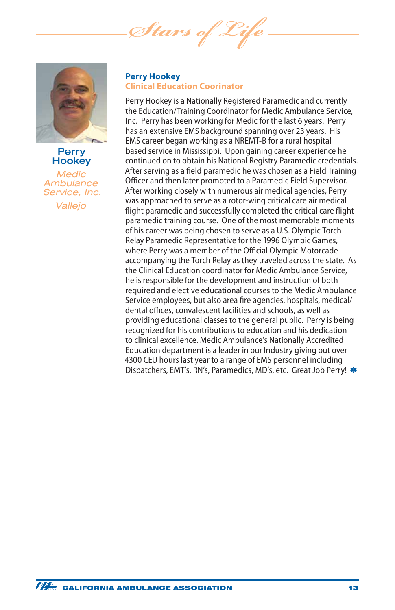*Stars of Life*



#### **Perry Hookey**

*Medic Ambulance Service, Inc. Vallejo*

#### **Perry Hookey Clinical Education Coorinator**

Perry Hookey is a Nationally Registered Paramedic and currently the Education/Training Coordinator for Medic Ambulance Service, Inc. Perry has been working for Medic for the last 6 years. Perry has an extensive EMS background spanning over 23 years. His EMS career began working as a NREMT-B for a rural hospital based service in Mississippi. Upon gaining career experience he continued on to obtain his National Registry Paramedic credentials. After serving as a field paramedic he was chosen as a Field Training Officer and then later promoted to a Paramedic Field Supervisor. After working closely with numerous air medical agencies, Perry was approached to serve as a rotor-wing critical care air medical flight paramedic and successfully completed the critical care flight paramedic training course. One of the most memorable moments of his career was being chosen to serve as a U.S. Olympic Torch Relay Paramedic Representative for the 1996 Olympic Games, where Perry was a member of the Official Olympic Motorcade accompanying the Torch Relay as they traveled across the state. As the Clinical Education coordinator for Medic Ambulance Service, he is responsible for the development and instruction of both required and elective educational courses to the Medic Ambulance Service employees, but also area fire agencies, hospitals, medical/ dental offices, convalescent facilities and schools, as well as providing educational classes to the general public. Perry is being recognized for his contributions to education and his dedication to clinical excellence. Medic Ambulance's Nationally Accredited Education department is a leader in our Industry giving out over 4300 CEU hours last year to a range of EMS personnel including Dispatchers, EMT's, RN's, Paramedics, MD's, etc. Great Job Perry!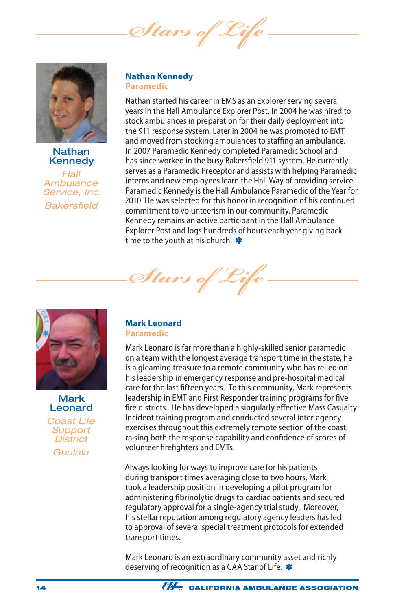*Stars of* 



Nathan Kennedy

*Hall Ambulance Service, Inc. Bakersfield*

#### **Nathan Kennedy Paramedic**

Nathan started his career in EMS as an Explorer serving several years in the Hall Ambulance Explorer Post. In 2004 he was hired to stock ambulances in preparation for their daily deployment into the 911 response system. Later in 2004 he was promoted to EMT and moved from stocking ambulances to staffing an ambulance. In 2007 Paramedic Kennedy completed Paramedic School and has since worked in the busy Bakersfield 911 system. He currently serves as a Paramedic Preceptor and assists with helping Paramedic interns and new employees learn the Hall Way of providing service. Paramedic Kennedy is the Hall Ambulance Paramedic of the Year for 2010. He was selected for this honor in recognition of his continued commitment to volunteerism in our community. Paramedic Kennedy remains an active participant in the Hall Ambulance Explorer Post and logs hundreds of hours each year giving back time to the youth at his church. \*



Mark Leonard *Coast Life Support District Gualala*

#### **Mark Leonard Paramedic**

*Stars of Life*

Mark Leonard is far more than a highly-skilled senior paramedic on a team with the longest average transport time in the state; he is a gleaming treasure to a remote community who has relied on his leadership in emergency response and pre-hospital medical care for the last fifteen years. To this community, Mark represents leadership in EMT and First Responder training programs for five fire districts. He has developed a singularly effective Mass Casualty Incident training program and conducted several inter-agency exercises throughout this extremely remote section of the coast, raising both the response capability and confidence of scores of volunteer firefighters and EMTs.

Always looking for ways to improve care for his patients during transport times averaging close to two hours, Mark took a leadership position in developing a pilot program for administering fibrinolytic drugs to cardiac patients and secured regulatory approval for a single-agency trial study. Moreover, his stellar reputation among regulatory agency leaders has led to approval of several special treatment protocols for extended transport times.

Mark Leonard is an extraordinary community asset and richly deserving of recognition as a CAA Star of Life. \*

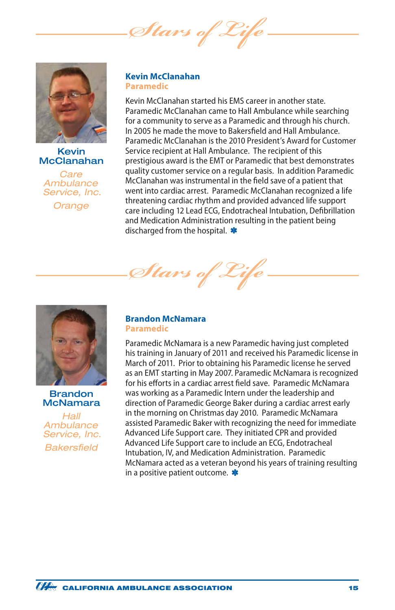*Stars of* 



#### Kevin McClanahan

*Care Ambulance Service, Inc. Orange*

#### **Kevin McClanahan Paramedic**

Kevin McClanahan started his EMS career in another state. Paramedic McClanahan came to Hall Ambulance while searching for a community to serve as a Paramedic and through his church. In 2005 he made the move to Bakersfield and Hall Ambulance. Paramedic McClanahan is the 2010 President's Award for Customer Service recipient at Hall Ambulance. The recipient of this prestigious award is the EMT or Paramedic that best demonstrates quality customer service on a regular basis. In addition Paramedic McClanahan was instrumental in the field save of a patient that went into cardiac arrest. Paramedic McClanahan recognized a life threatening cardiac rhythm and provided advanced life support care including 12 Lead ECG, Endotracheal Intubation, Defibrillation and Medication Administration resulting in the patient being discharged from the hospital. **\*** 



Brandon McNamara

*Hall Ambulance Service, Inc. Bakersfield*

#### **Brandon McNamara Paramedic**

*Stars of Life*

Paramedic McNamara is a new Paramedic having just completed his training in January of 2011 and received his Paramedic license in March of 2011. Prior to obtaining his Paramedic license he served as an EMT starting in May 2007. Paramedic McNamara is recognized for his efforts in a cardiac arrest field save. Paramedic McNamara was working as a Paramedic Intern under the leadership and direction of Paramedic George Baker during a cardiac arrest early in the morning on Christmas day 2010. Paramedic McNamara assisted Paramedic Baker with recognizing the need for immediate Advanced Life Support care. They initiated CPR and provided Advanced Life Support care to include an ECG, Endotracheal Intubation, IV, and Medication Administration. Paramedic McNamara acted as a veteran beyond his years of training resulting in a positive patient outcome.  $\ast$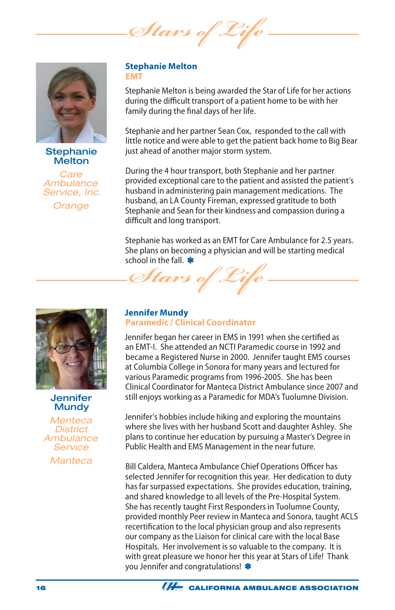Stars of



#### **Stephanie Melton**

*Care Ambulance Service, Inc.*

*Orange*

#### **Stephanie Melton EMT**

Stephanie Melton is being awarded the Star of Life for her actions during the difficult transport of a patient home to be with her family during the final days of her life.

Stephanie and her partner Sean Cox, responded to the call with little notice and were able to get the patient back home to Big Bear just ahead of another major storm system.

During the 4 hour transport, both Stephanie and her partner provided exceptional care to the patient and assisted the patient's husband in administering pain management medications. The husband, an LA County Fireman, expressed gratitude to both Stephanie and Sean for their kindness and compassion during a difficult and long transport.

Stephanie has worked as an EMT for Care Ambulance for 2.5 years. She plans on becoming a physician and will be starting medical school in the fall. \* *Stars of Life*



#### **Jennifer Mundy**

*Menteca District Ambulance Service*

*Manteca*

#### **Jennifer Mundy Paramedic / Clinical Coordinator**

Jennifer began her career in EMS in 1991 when she certified as an EMT-I. She attended an NCTI Paramedic course in 1992 and became a Registered Nurse in 2000. Jennifer taught EMS courses at Columbia College in Sonora for many years and lectured for various Paramedic programs from 1996-2005. She has been Clinical Coordinator for Manteca District Ambulance since 2007 and still enjoys working as a Paramedic for MDA's Tuolumne Division.

Jennifer's hobbies include hiking and exploring the mountains where she lives with her husband Scott and daughter Ashley. She plans to continue her education by pursuing a Master's Degree in Public Health and EMS Management in the near future.

Bill Caldera, Manteca Ambulance Chief Operations Officer has selected Jennifer for recognition this year. Her dedication to duty has far surpassed expectations. She provides education, training, and shared knowledge to all levels of the Pre-Hospital System. She has recently taught First Responders in Tuolumne County, provided monthly Peer review in Manteca and Sonora, taught ACLS recertification to the local physician group and also represents our company as the Liaison for clinical care with the local Base Hospitals. Her involvement is so valuable to the company. It is with great pleasure we honor her this year at Stars of Life! Thank you Jennifer and congratulations! \*

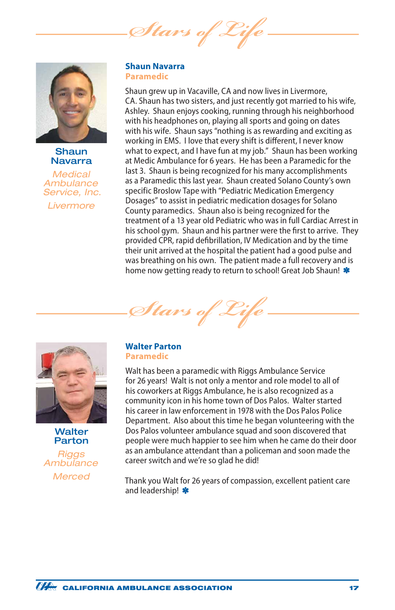*Stars of* 



**Shaun** Navarra

*Medical Ambulance Service, Inc. Livermore*

#### **Shaun Navarra Paramedic**

Shaun grew up in Vacaville, CA and now lives in Livermore, CA. Shaun has two sisters, and just recently got married to his wife, Ashley. Shaun enjoys cooking, running through his neighborhood with his headphones on, playing all sports and going on dates with his wife. Shaun says "nothing is as rewarding and exciting as working in EMS. I love that every shift is different, I never know what to expect, and I have fun at my job." Shaun has been working at Medic Ambulance for 6 years. He has been a Paramedic for the last 3. Shaun is being recognized for his many accomplishments as a Paramedic this last year. Shaun created Solano County's own specific Broslow Tape with "Pediatric Medication Emergency Dosages" to assist in pediatric medication dosages for Solano County paramedics. Shaun also is being recognized for the treatment of a 13 year old Pediatric who was in full Cardiac Arrest in his school gym. Shaun and his partner were the first to arrive. They provided CPR, rapid defibrillation, IV Medication and by the time their unit arrived at the hospital the patient had a good pulse and was breathing on his own. The patient made a full recovery and is home now getting ready to return to school! Great Job Shaun! \*





Walter Parton

*Riggs Ambulance Merced*

#### **Walter Parton Paramedic**

Walt has been a paramedic with Riggs Ambulance Service for 26 years! Walt is not only a mentor and role model to all of his coworkers at Riggs Ambulance, he is also recognized as a community icon in his home town of Dos Palos. Walter started his career in law enforcement in 1978 with the Dos Palos Police Department. Also about this time he began volunteering with the Dos Palos volunteer ambulance squad and soon discovered that people were much happier to see him when he came do their door as an ambulance attendant than a policeman and soon made the career switch and we're so glad he did!

Thank you Walt for 26 years of compassion, excellent patient care and leadership! \*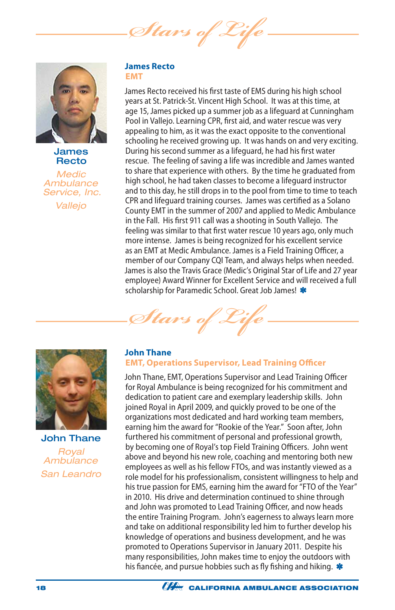Stars of



James Recto

*Medic Ambulance Service, Inc. Vallejo*

#### **James Recto EMT**

James Recto received his first taste of EMS during his high school years at St. Patrick-St. Vincent High School. It was at this time, at age 15, James picked up a summer job as a lifeguard at Cunningham Pool in Vallejo. Learning CPR, first aid, and water rescue was very appealing to him, as it was the exact opposite to the conventional schooling he received growing up. It was hands on and very exciting. During his second summer as a lifeguard, he had his first water rescue. The feeling of saving a life was incredible and James wanted to share that experience with others. By the time he graduated from high school, he had taken classes to become a lifeguard instructor and to this day, he still drops in to the pool from time to time to teach CPR and lifeguard training courses. James was certified as a Solano County EMT in the summer of 2007 and applied to Medic Ambulance in the Fall. His first 911 call was a shooting in South Vallejo. The feeling was similar to that first water rescue 10 years ago, only much more intense. James is being recognized for his excellent service as an EMT at Medic Ambulance. James is a Field Training Officer, a member of our Company CQI Team, and always helps when needed. James is also the Travis Grace (Medic's Original Star of Life and 27 year employee) Award Winner for Excellent Service and will received a full scholarship for Paramedic School. Great Job James! \*





John Thane *Royal Ambulance San Leandro*

#### **John Thane EMT, Operations Supervisor, Lead Training Officer**

John Thane, EMT, Operations Supervisor and Lead Training Officer for Royal Ambulance is being recognized for his commitment and dedication to patient care and exemplary leadership skills. John joined Royal in April 2009, and quickly proved to be one of the organizations most dedicated and hard working team members, earning him the award for "Rookie of the Year." Soon after, John furthered his commitment of personal and professional growth, by becoming one of Royal's top Field Training Officers. John went above and beyond his new role, coaching and mentoring both new employees as well as his fellow FTOs, and was instantly viewed as a role model for his professionalism, consistent willingness to help and his true passion for EMS, earning him the award for "FTO of the Year" in 2010. His drive and determination continued to shine through and John was promoted to Lead Training Officer, and now heads the entire Training Program. John's eagerness to always learn more and take on additional responsibility led him to further develop his knowledge of operations and business development, and he was promoted to Operations Supervisor in January 2011. Despite his many responsibilities, John makes time to enjoy the outdoors with his fiancée, and pursue hobbies such as fly fishing and hiking. \*

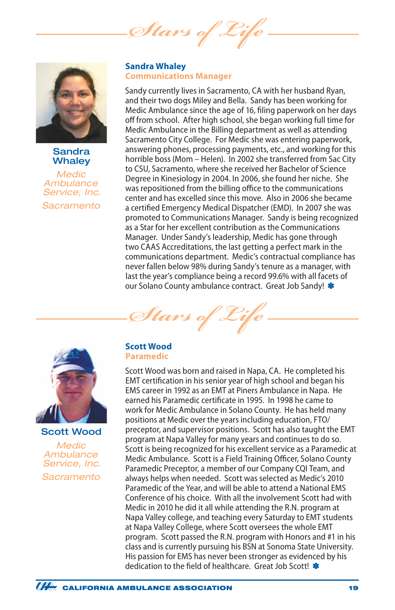*Stars of* 



#### **Sandra Whalev**

*Medic Ambulance Service, Inc. Sacramento*

#### **Sandra Whaley Communications Manager**

Sandy currently lives in Sacramento, CA with her husband Ryan, and their two dogs Miley and Bella. Sandy has been working for Medic Ambulance since the age of 16, filing paperwork on her days off from school. After high school, she began working full time for Medic Ambulance in the Billing department as well as attending Sacramento City College. For Medic she was entering paperwork, answering phones, processing payments, etc., and working for this horrible boss (Mom – Helen). In 2002 she transferred from Sac City to CSU, Sacramento, where she received her Bachelor of Science Degree in Kinesiology in 2004. In 2006, she found her niche. She was repositioned from the billing office to the communications center and has excelled since this move. Also in 2006 she became a certified Emergency Medical Dispatcher (EMD). In 2007 she was promoted to Communications Manager. Sandy is being recognized as a Star for her excellent contribution as the Communications Manager. Under Sandy's leadership, Medic has gone through two CAAS Accreditations, the last getting a perfect mark in the communications department. Medic's contractual compliance has never fallen below 98% during Sandy's tenure as a manager, with last the year's compliance being a record 99.6% with all facets of our Solano County ambulance contract. Great Job Sandy! \*





Scott Wood *Medic Ambulance Service, Inc. Sacramento*

#### **Scott Wood Paramedic**

Scott Wood was born and raised in Napa, CA. He completed his EMT certification in his senior year of high school and began his EMS career in 1992 as an EMT at Piners Ambulance in Napa. He earned his Paramedic certificate in 1995. In 1998 he came to work for Medic Ambulance in Solano County. He has held many positions at Medic over the years including education, FTO/ preceptor, and supervisor positions. Scott has also taught the EMT program at Napa Valley for many years and continues to do so. Scott is being recognized for his excellent service as a Paramedic at Medic Ambulance. Scott is a Field Training Officer, Solano County Paramedic Preceptor, a member of our Company CQI Team, and always helps when needed. Scott was selected as Medic's 2010 Paramedic of the Year, and will be able to attend a National EMS Conference of his choice. With all the involvement Scott had with Medic in 2010 he did it all while attending the R.N. program at Napa Valley college, and teaching every Saturday to EMT students at Napa Valley College, where Scott oversees the whole EMT program. Scott passed the R.N. program with Honors and #1 in his class and is currently pursuing his BSN at Sonoma State University. His passion for EMS has never been stronger as evidenced by his dedication to the field of healthcare. Great Job Scottl